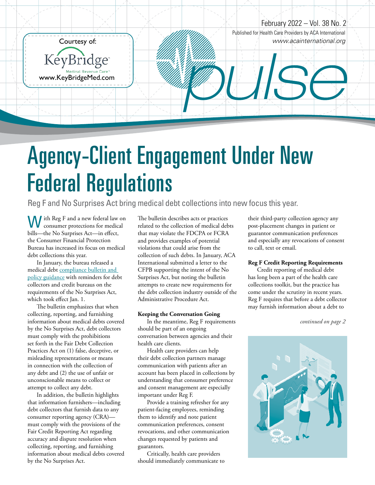

## Agency-Client Engagement Under New Federal Regulations

Reg F and No Surprises Act bring medical debt collections into new focus this year.

W ith Reg F and a new federal law on<br>consumer protections for medical consumer protections for medical bills—the No Surprises Act—in effect, the Consumer Financial Protection Bureau has increased its focus on medical debt collections this year.

In January, the bureau released a medical debt compliance bulletin and policy guidance with reminders for debt collectors and credit bureaus on the requirements of the No Surprises Act, which took effect Jan. 1.

The bulletin emphasizes that when collecting, reporting, and furnishing information about medical debts covered by the No Surprises Act, debt collectors must comply with the prohibitions set forth in the Fair Debt Collection Practices Act on (1) false, deceptive, or misleading representations or means in connection with the collection of any debt and (2) the use of unfair or unconscionable means to collect or attempt to collect any debt.

In addition, the bulletin highlights that information furnishers—including debt collectors that furnish data to any consumer reporting agency (CRA) must comply with the provisions of the Fair Credit Reporting Act regarding accuracy and dispute resolution when collecting, reporting, and furnishing information about medical debts covered by the No Surprises Act.

The bulletin describes acts or practices related to the collection of medical debts that may violate the FDCPA or FCRA and provides examples of potential violations that could arise from the collection of such debts. In January, ACA International submitted a letter to the CFPB supporting the intent of the No Surprises Act, but noting the bulletin attempts to create new requirements for the debt collection industry outside of the Administrative Procedure Act.

#### **Keeping the Conversation Going**

In the meantime, Reg F requirements should be part of an ongoing conversation between agencies and their health care clients.

Health care providers can help their debt collection partners manage communication with patients after an account has been placed in collections by understanding that consumer preference and consent management are especially important under Reg F.

Provide a training refresher for any patient-facing employees, reminding them to identify and note patient communication preferences, consent revocations, and other communication changes requested by patients and guarantors.

Critically, health care providers should immediately communicate to

their third-party collection agency any post-placement changes in patient or guarantor communication preferences and especially any revocations of consent to call, text or email.

#### **Reg F Credit Reporting Requirements**

Credit reporting of medical debt has long been a part of the health care collections toolkit, but the practice has come under the scrutiny in recent years. Reg F requires that before a debt collector may furnish information about a debt to

*continued on page 2*

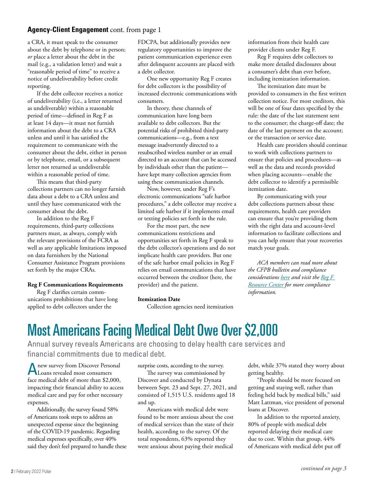#### **Agency-Client Engagement** cont. from page 1

a CRA, it must speak to the consumer about the debt by telephone or in person; *or* place a letter about the debt in the mail (e.g., a validation letter) and wait a "reasonable period of time" to receive a notice of undeliverability before credit reporting.

If the debt collector receives a notice of undeliverability (i.e., a letter returned as undeliverable) within a reasonable period of time—defined in Reg F as at least 14 days—it must not furnish information about the debt to a CRA unless and until it has satisfied the requirement to communicate with the consumer about the debt, either in person or by telephone, email, or a subsequent letter not returned as undeliverable within a reasonable period of time.

This means that third-party collections partners can no longer furnish data about a debt to a CRA unless and until they have communicated with the consumer about the debt.

In addition to the Reg F requirements, third-party collections partners must, as always, comply with the relevant provisions of the FCRA as well as any applicable limitations imposed on data furnishers by the National Consumer Assistance Program provisions set forth by the major CRAs.

#### **Reg F Communications Requirements**

Reg F clarifies certain communications prohibitions that have long applied to debt collectors under the

FDCPA, but additionally provides new regulatory opportunities to improve the patient communication experience even after delinquent accounts are placed with a debt collector.

One new opportunity Reg F creates for debt collectors is the possibility of increased electronic communications with consumers.

In theory, these channels of communication have long been available to debt collectors. But the potential risks of prohibited third-party communications—e.g., from a text message inadvertently directed to a resubscribed wireless number or an email directed to an account that can be accessed by individuals other than the patient have kept many collection agencies from using these communication channels.

Now, however, under Reg F's electronic communications "safe harbor procedures," a debt collector may receive a limited safe harbor if it implements email or texting policies set forth in the rule.

For the most part, the new communications restrictions and opportunities set forth in Reg F speak to the debt collector's operations and do not implicate health care providers. But one of the safe harbor email policies in Reg F relies on email communications that have occurred between the creditor (here, the provider) and the patient.

#### **Itemization Date**

Collection agencies need itemization

information from their health care provider clients under Reg F.

Reg F requires debt collectors to make more detailed disclosures about a consumer's debt than ever before, including itemization information.

The itemization date must be provided to consumers in the first written collection notice. For most creditors, this will be one of four dates specified by the rule: the date of the last statement sent to the consumer; the charge-off date; the date of the last payment on the account; or the transaction or service date.

Health care providers should continue to work with collections partners to ensure that policies and procedures—as well as the data and records provided when placing accounts—enable the debt collector to identify a permissible itemization date.

By communicating with your debt collections partners about these requirements, health care providers can ensure that you're providing them with the right data and account-level information to facilitate collections and you can help ensure that your recoveries match your goals.

*ACA members can read more about the CFPB bulletin and compliance considerations here and visit the Reg F Resource Center for more compliance information.*

### Most Americans Facing Medical Debt Owe Over \$2,000

Annual survey reveals Americans are choosing to delay health care services and financial commitments due to medical debt.

A new survey from Discover Personal<br>Loans revealed most consumers Loans revealed most consumers face medical debt of more than \$2,000, impacting their financial ability to access medical care and pay for other necessary expenses.

Additionally, the survey found 58% of Americans took steps to address an unexpected expense since the beginning of the COVID-19 pandemic. Regarding medical expenses specifically, over 40% said they don't feel prepared to handle these surprise costs, according to the survey.

The survey was commissioned by Discover and conducted by Dynata between Sept. 23 and Sept. 27, 2021, and consisted of 1,515 U.S. residents aged 18 and up.

Americans with medical debt were found to be more anxious about the cost of medical services than the state of their health, according to the survey. Of the total respondents, 63% reported they were anxious about paying their medical

debt, while 37% stated they worry about getting healthy.

"People should be more focused on getting and staying well, rather than feeling held back by medical bills," said Matt Lattman, vice president of personal loans at Discover.

In addition to the reported anxiety, 80% of people with medical debt reported delaying their medical care due to cost. Within that group, 44% of Americans with medical debt put off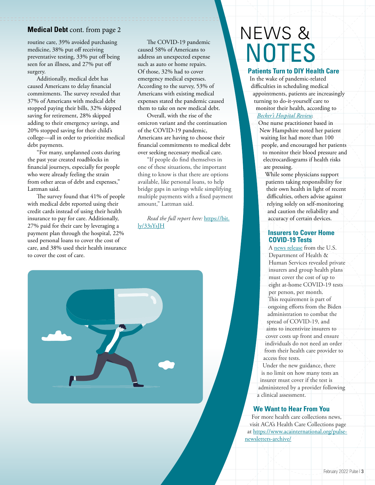#### **Medical Debt** cont. from page 2

routine care, 39% avoided purchasing medicine, 38% put off receiving preventative testing, 33% put off being seen for an illness, and 27% put off surgery.

Additionally, medical debt has caused Americans to delay financial commitments. The survey revealed that 37% of Americans with medical debt stopped paying their bills, 32% skipped saving for retirement, 28% skipped adding to their emergency savings, and 20% stopped saving for their child's college—all in order to prioritize medical debt payments.

"For many, unplanned costs during the past year created roadblocks in financial journeys, especially for people who were already feeling the strain from other areas of debt and expenses," Lattman said.

The survey found that 41% of people with medical debt reported using their credit cards instead of using their health insurance to pay for care. Additionally, 27% paid for their care by leveraging a payment plan through the hospital, 22% used personal loans to cover the cost of care, and 38% used their health insurance to cover the cost of care.

The COVID-19 pandemic caused 58% of Americans to address an unexpected expense such as auto or home repairs. Of those, 32% had to cover emergency medical expenses. According to the survey, 53% of Americans with existing medical expenses stated the pandemic caused them to take on new medical debt.

Overall, with the rise of the omicron variant and the continuation of the COVID-19 pandemic, Americans are having to choose their financial commitments to medical debt over seeking necessary medical care.

"If people do find themselves in one of these situations, the important thing to know is that there are options available, like personal loans, to help bridge gaps in savings while simplifying multiple payments with a fixed payment amount," Lattman said.

*Read the full report here:* https://bit. ly/33sYsJH



## NEWS & **NOTES**

#### **Patients Turn to DIY Health Care**

In the wake of pandemic-related difficulties in scheduling medical appointments, patients are increasingly turning to do-it-yourself care to monitor their health, according to *Becker's Hospital Review.*

- One nurse practitioner based in New Hampshire noted her patient waiting list had more than 100 people, and encouraged her patients to monitor their blood pressure and electrocardiograms if health risks are pressing.
- While some physicians support patients taking responsibility for their own health in light of recent difficulties, others advise against relying solely on self-monitoring and caution the reliability and accuracy of certain devices.

#### **Insurers to Cover Home COVID-19 Tests**

A news release from the U.S. Department of Health & Human Services revealed private insurers and group health plans must cover the cost of up to eight at-home COVID-19 tests per person, per month. This requirement is part of ongoing efforts from the Biden administration to combat the spread of COVID-19, and aims to incentivize insurers to cover costs up front and ensure individuals do not need an order from their health care provider to access free tests.

Under the new guidance, there is no limit on how many tests an insurer must cover if the test is administered by a provider following a clinical assessment.

#### **We Want to Hear From You**

For more health care collections news, visit ACA's Health Care Collections page at https://www.acainternational.org/pulsenewsletters-archive/